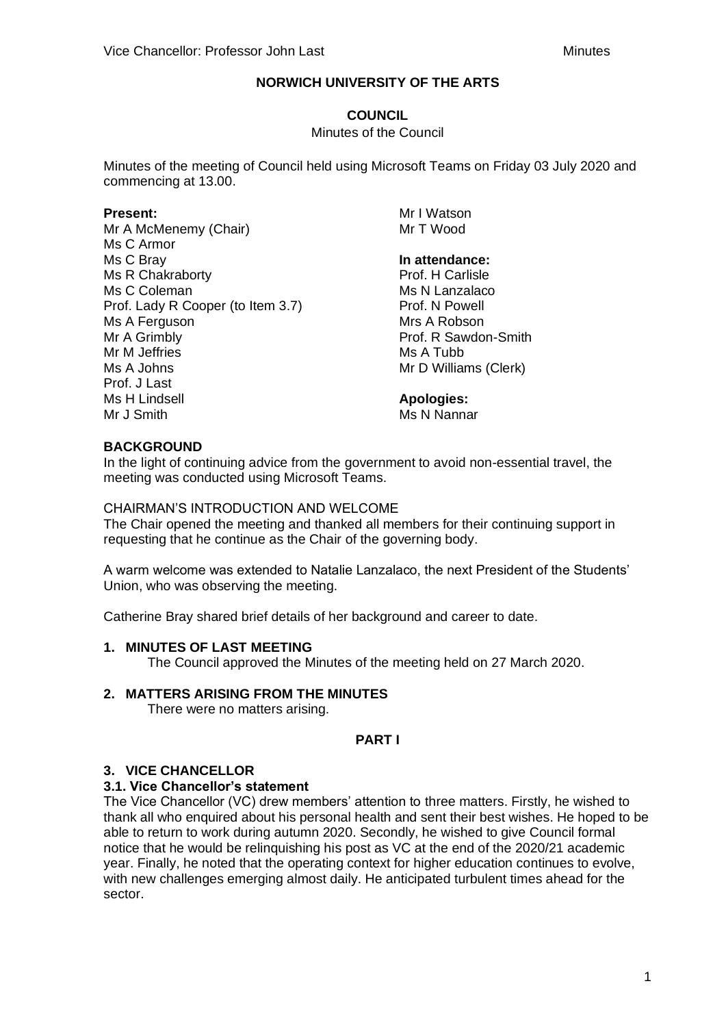# **COUNCIL**

#### Minutes of the Council

Minutes of the meeting of Council held using Microsoft Teams on Friday 03 July 2020 and commencing at 13.00.

### **Present:**

Mr A McMenemy (Chair) Ms C Armor Ms C Bray Ms R Chakraborty Ms C Coleman Prof. Lady R Cooper (to Item 3.7) Ms A Ferguson Mr A Grimbly Mr M Jeffries Ms A Johns Prof. J Last Ms H Lindsell Mr J Smith

Mr I Watson Mr T Wood

# **In attendance:**

Prof. H Carlisle Ms N Lanzalaco Prof. N Powell Mrs A Robson Prof. R Sawdon-Smith Ms A Tubb Mr D Williams (Clerk)

### **Apologies:**

Ms N Nannar

## **BACKGROUND**

In the light of continuing advice from the government to avoid non-essential travel, the meeting was conducted using Microsoft Teams.

### CHAIRMAN'S INTRODUCTION AND WELCOME

The Chair opened the meeting and thanked all members for their continuing support in requesting that he continue as the Chair of the governing body.

A warm welcome was extended to Natalie Lanzalaco, the next President of the Students' Union, who was observing the meeting.

Catherine Bray shared brief details of her background and career to date.

## **1. MINUTES OF LAST MEETING**

The Council approved the Minutes of the meeting held on 27 March 2020.

## **2. MATTERS ARISING FROM THE MINUTES**

There were no matters arising.

## **PART I**

## **3. VICE CHANCELLOR**

## **3.1. Vice Chancellor's statement**

The Vice Chancellor (VC) drew members' attention to three matters. Firstly, he wished to thank all who enquired about his personal health and sent their best wishes. He hoped to be able to return to work during autumn 2020. Secondly, he wished to give Council formal notice that he would be relinquishing his post as VC at the end of the 2020/21 academic year. Finally, he noted that the operating context for higher education continues to evolve, with new challenges emerging almost daily. He anticipated turbulent times ahead for the sector.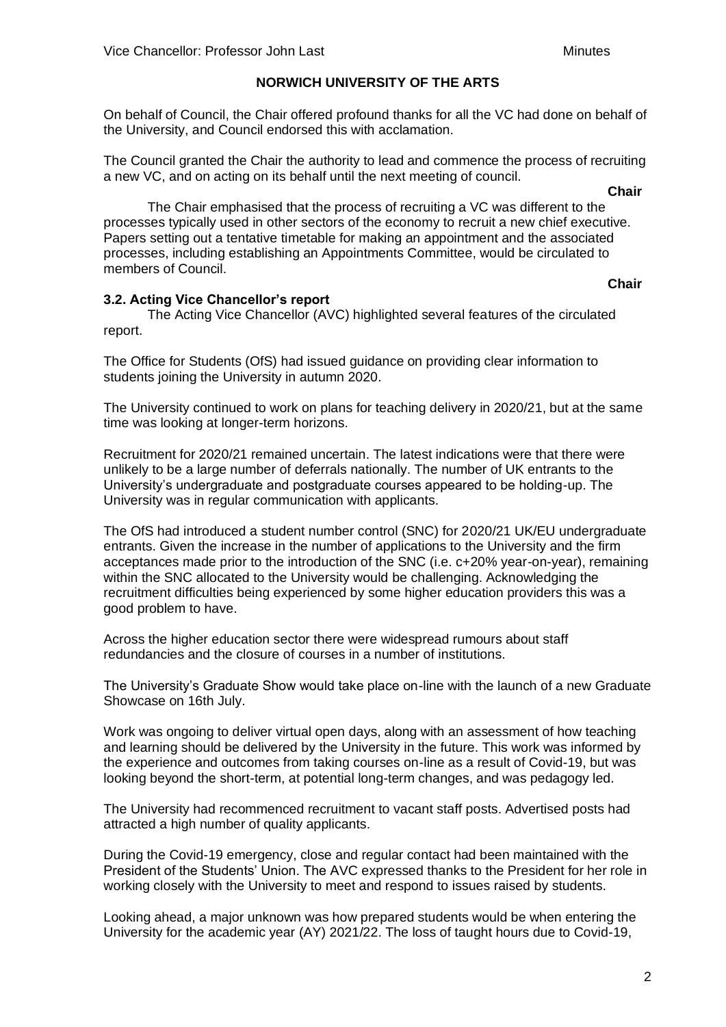On behalf of Council, the Chair offered profound thanks for all the VC had done on behalf of the University, and Council endorsed this with acclamation.

The Council granted the Chair the authority to lead and commence the process of recruiting a new VC, and on acting on its behalf until the next meeting of council.

**Chair**

**Chair**

The Chair emphasised that the process of recruiting a VC was different to the processes typically used in other sectors of the economy to recruit a new chief executive. Papers setting out a tentative timetable for making an appointment and the associated processes, including establishing an Appointments Committee, would be circulated to members of Council.

## **3.2. Acting Vice Chancellor's report**

The Acting Vice Chancellor (AVC) highlighted several features of the circulated report.

The Office for Students (OfS) had issued guidance on providing clear information to students joining the University in autumn 2020.

The University continued to work on plans for teaching delivery in 2020/21, but at the same time was looking at longer-term horizons.

Recruitment for 2020/21 remained uncertain. The latest indications were that there were unlikely to be a large number of deferrals nationally. The number of UK entrants to the University's undergraduate and postgraduate courses appeared to be holding-up. The University was in regular communication with applicants.

The OfS had introduced a student number control (SNC) for 2020/21 UK/EU undergraduate entrants. Given the increase in the number of applications to the University and the firm acceptances made prior to the introduction of the SNC (i.e. c+20% year-on-year), remaining within the SNC allocated to the University would be challenging. Acknowledging the recruitment difficulties being experienced by some higher education providers this was a good problem to have.

Across the higher education sector there were widespread rumours about staff redundancies and the closure of courses in a number of institutions.

The University's Graduate Show would take place on-line with the launch of a new Graduate Showcase on 16th July.

Work was ongoing to deliver virtual open days, along with an assessment of how teaching and learning should be delivered by the University in the future. This work was informed by the experience and outcomes from taking courses on-line as a result of Covid-19, but was looking beyond the short-term, at potential long-term changes, and was pedagogy led.

The University had recommenced recruitment to vacant staff posts. Advertised posts had attracted a high number of quality applicants.

During the Covid-19 emergency, close and regular contact had been maintained with the President of the Students' Union. The AVC expressed thanks to the President for her role in working closely with the University to meet and respond to issues raised by students.

Looking ahead, a major unknown was how prepared students would be when entering the University for the academic year (AY) 2021/22. The loss of taught hours due to Covid-19,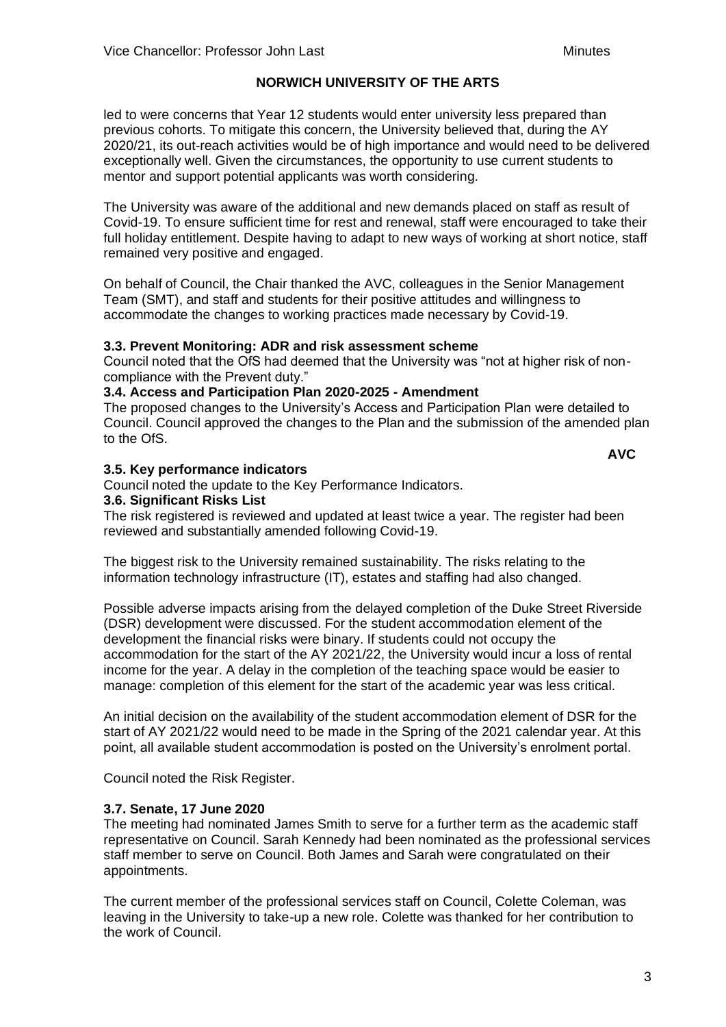led to were concerns that Year 12 students would enter university less prepared than previous cohorts. To mitigate this concern, the University believed that, during the AY 2020/21, its out-reach activities would be of high importance and would need to be delivered exceptionally well. Given the circumstances, the opportunity to use current students to mentor and support potential applicants was worth considering.

The University was aware of the additional and new demands placed on staff as result of Covid-19. To ensure sufficient time for rest and renewal, staff were encouraged to take their full holiday entitlement. Despite having to adapt to new ways of working at short notice, staff remained very positive and engaged.

On behalf of Council, the Chair thanked the AVC, colleagues in the Senior Management Team (SMT), and staff and students for their positive attitudes and willingness to accommodate the changes to working practices made necessary by Covid-19.

## **3.3. Prevent Monitoring: ADR and risk assessment scheme**

Council noted that the OfS had deemed that the University was "not at higher risk of noncompliance with the Prevent duty."

## **3.4. Access and Participation Plan 2020-2025 - Amendment**

The proposed changes to the University's Access and Participation Plan were detailed to Council. Council approved the changes to the Plan and the submission of the amended plan to the OfS.

**AVC**

### **3.5. Key performance indicators**

Council noted the update to the Key Performance Indicators.

### **3.6. Significant Risks List**

The risk registered is reviewed and updated at least twice a year. The register had been reviewed and substantially amended following Covid-19.

The biggest risk to the University remained sustainability. The risks relating to the information technology infrastructure (IT), estates and staffing had also changed.

Possible adverse impacts arising from the delayed completion of the Duke Street Riverside (DSR) development were discussed. For the student accommodation element of the development the financial risks were binary. If students could not occupy the accommodation for the start of the AY 2021/22, the University would incur a loss of rental income for the year. A delay in the completion of the teaching space would be easier to manage: completion of this element for the start of the academic year was less critical.

An initial decision on the availability of the student accommodation element of DSR for the start of AY 2021/22 would need to be made in the Spring of the 2021 calendar year. At this point, all available student accommodation is posted on the University's enrolment portal.

Council noted the Risk Register.

## **3.7. Senate, 17 June 2020**

The meeting had nominated James Smith to serve for a further term as the academic staff representative on Council. Sarah Kennedy had been nominated as the professional services staff member to serve on Council. Both James and Sarah were congratulated on their appointments.

The current member of the professional services staff on Council, Colette Coleman, was leaving in the University to take-up a new role. Colette was thanked for her contribution to the work of Council.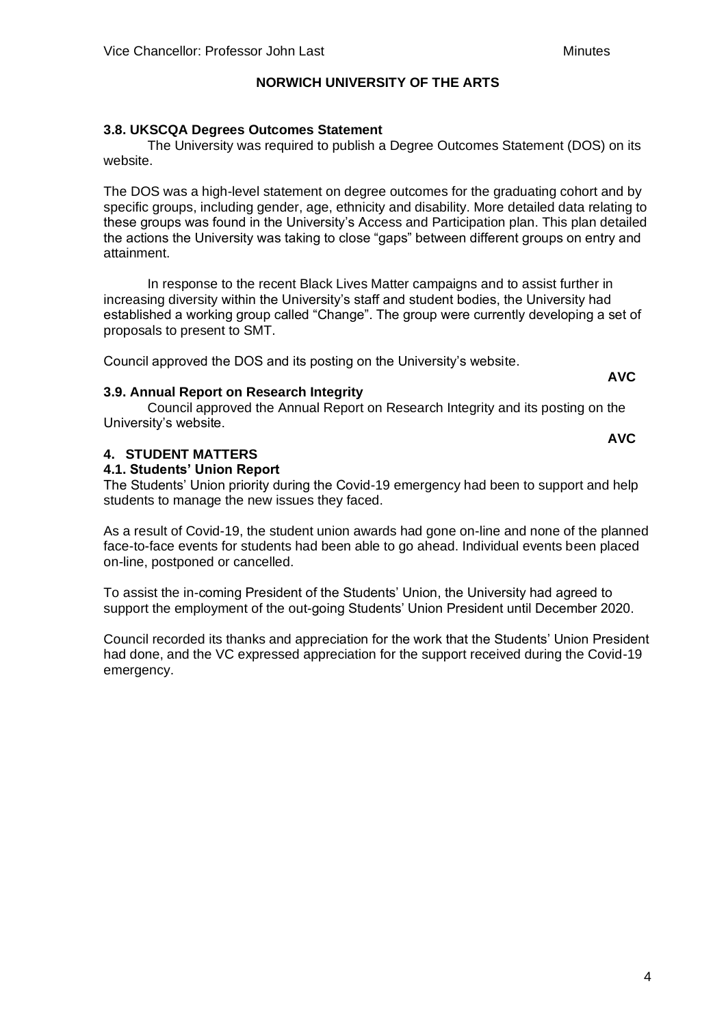# **3.8. UKSCQA Degrees Outcomes Statement**

The University was required to publish a Degree Outcomes Statement (DOS) on its website.

The DOS was a high-level statement on degree outcomes for the graduating cohort and by specific groups, including gender, age, ethnicity and disability. More detailed data relating to these groups was found in the University's Access and Participation plan. This plan detailed the actions the University was taking to close "gaps" between different groups on entry and attainment.

In response to the recent Black Lives Matter campaigns and to assist further in increasing diversity within the University's staff and student bodies, the University had established a working group called "Change". The group were currently developing a set of proposals to present to SMT.

Council approved the DOS and its posting on the University's website.

**AVC**

# **3.9. Annual Report on Research Integrity**

Council approved the Annual Report on Research Integrity and its posting on the University's website.

# **4. STUDENT MATTERS**

## **4.1. Students' Union Report**

The Students' Union priority during the Covid-19 emergency had been to support and help students to manage the new issues they faced.

As a result of Covid-19, the student union awards had gone on-line and none of the planned face-to-face events for students had been able to go ahead. Individual events been placed on-line, postponed or cancelled.

To assist the in-coming President of the Students' Union, the University had agreed to support the employment of the out-going Students' Union President until December 2020.

Council recorded its thanks and appreciation for the work that the Students' Union President had done, and the VC expressed appreciation for the support received during the Covid-19 emergency.

**AVC**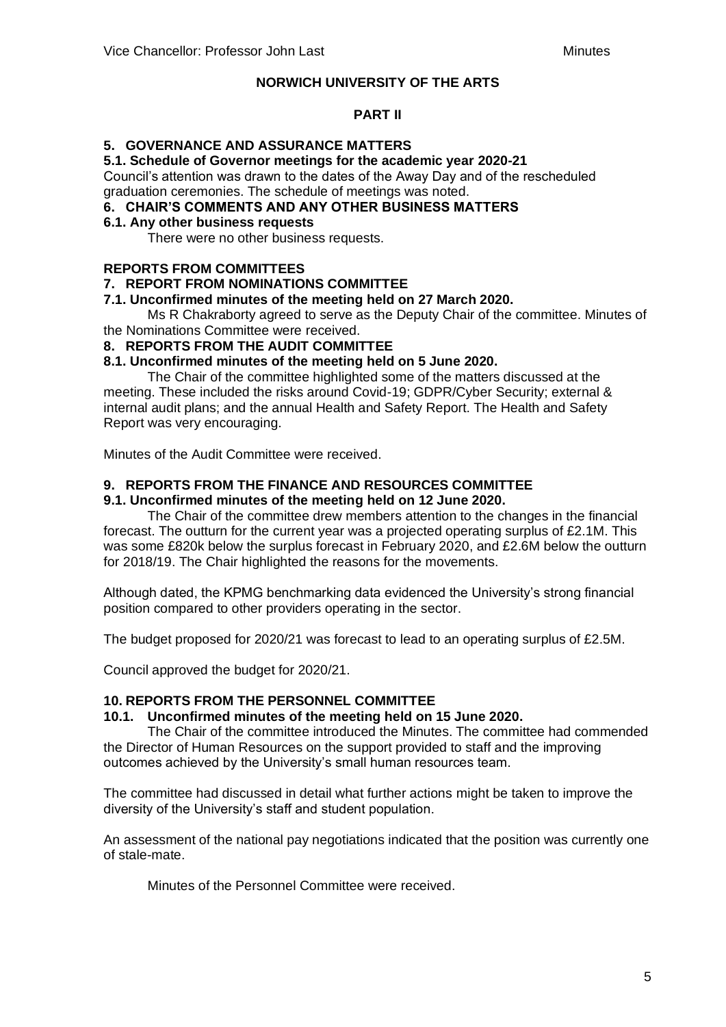## **PART II**

# **5. GOVERNANCE AND ASSURANCE MATTERS**

#### **5.1. Schedule of Governor meetings for the academic year 2020-21**

Council's attention was drawn to the dates of the Away Day and of the rescheduled graduation ceremonies. The schedule of meetings was noted.

## **6. CHAIR'S COMMENTS AND ANY OTHER BUSINESS MATTERS**

### **6.1. Any other business requests**

There were no other business requests.

## **REPORTS FROM COMMITTEES**

## **7. REPORT FROM NOMINATIONS COMMITTEE**

## **7.1. Unconfirmed minutes of the meeting held on 27 March 2020.**

Ms R Chakraborty agreed to serve as the Deputy Chair of the committee. Minutes of the Nominations Committee were received.

### **8. REPORTS FROM THE AUDIT COMMITTEE**

### **8.1. Unconfirmed minutes of the meeting held on 5 June 2020.**

The Chair of the committee highlighted some of the matters discussed at the meeting. These included the risks around Covid-19; GDPR/Cyber Security; external & internal audit plans; and the annual Health and Safety Report. The Health and Safety Report was very encouraging.

Minutes of the Audit Committee were received.

## **9. REPORTS FROM THE FINANCE AND RESOURCES COMMITTEE**

### **9.1. Unconfirmed minutes of the meeting held on 12 June 2020.**

The Chair of the committee drew members attention to the changes in the financial forecast. The outturn for the current year was a projected operating surplus of £2.1M. This was some £820k below the surplus forecast in February 2020, and £2.6M below the outturn for 2018/19. The Chair highlighted the reasons for the movements.

Although dated, the KPMG benchmarking data evidenced the University's strong financial position compared to other providers operating in the sector.

The budget proposed for 2020/21 was forecast to lead to an operating surplus of £2.5M.

Council approved the budget for 2020/21.

#### **10. REPORTS FROM THE PERSONNEL COMMITTEE**

#### **10.1. Unconfirmed minutes of the meeting held on 15 June 2020.**

The Chair of the committee introduced the Minutes. The committee had commended the Director of Human Resources on the support provided to staff and the improving outcomes achieved by the University's small human resources team.

The committee had discussed in detail what further actions might be taken to improve the diversity of the University's staff and student population.

An assessment of the national pay negotiations indicated that the position was currently one of stale-mate.

Minutes of the Personnel Committee were received.